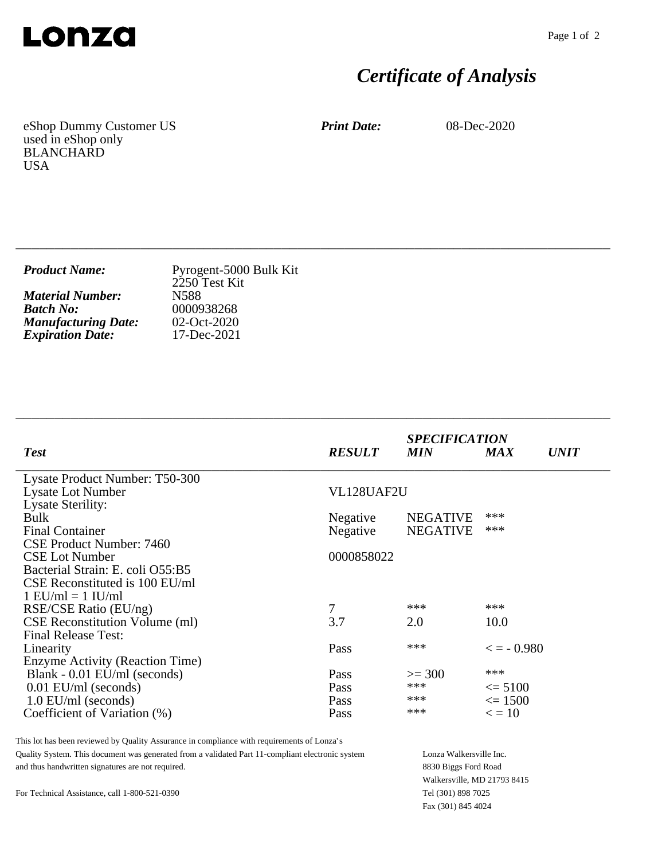

## *Certificate of Analysis*

eShop Dummy Customer US used in eShop only BLANCHARD USA

*Print Date:* 08-Dec-2020

| <b>Product Name:</b>       | Pyrogent-5000 Bulk Kit<br>2250 Test Kit |
|----------------------------|-----------------------------------------|
| <b>Material Number:</b>    | N588                                    |
| <b>Batch No:</b>           | 0000938268                              |
| <b>Manufacturing Date:</b> | $02-Oct-2020$                           |
| <b>Expiration Date:</b>    | 17-Dec-2021                             |

\_\_\_\_\_\_\_\_\_\_\_\_\_\_\_\_\_\_\_\_\_\_\_\_\_\_\_\_\_\_\_\_\_\_\_\_\_\_\_\_\_\_\_\_\_\_\_\_\_\_\_\_\_\_\_\_\_\_\_\_\_\_\_\_\_\_\_\_\_\_\_\_\_\_\_\_

\_\_\_\_\_\_\_\_\_\_\_\_\_\_\_\_\_\_\_\_\_\_\_\_\_\_\_\_\_\_\_\_\_\_\_\_\_\_\_\_\_\_\_\_\_\_\_\_\_\_\_\_\_\_\_\_\_\_\_\_\_\_\_\_\_\_\_\_\_\_\_\_\_\_\_\_

| <b>Test</b>                                        | <b>RESULT</b> | <b>SPECIFICATION</b><br><b>MIN</b> | <b>MAX</b>          | <i>UNIT</i> |
|----------------------------------------------------|---------------|------------------------------------|---------------------|-------------|
| Lysate Product Number: T50-300                     |               |                                    |                     |             |
| <b>Lysate Lot Number</b>                           | VL128UAF2U    |                                    |                     |             |
| <b>Lysate Sterility:</b>                           |               |                                    | ***                 |             |
| <b>Bulk</b>                                        | Negative      | <b>NEGATIVE</b>                    | ***                 |             |
| <b>Final Container</b><br>CSE Product Number: 7460 | Negative      | <b>NEGATIVE</b>                    |                     |             |
| <b>CSE Lot Number</b>                              | 0000858022    |                                    |                     |             |
| Bacterial Strain: E. coli O55:B5                   |               |                                    |                     |             |
| CSE Reconstituted is 100 EU/ml                     |               |                                    |                     |             |
| $1$ EU/ml = $1$ IU/ml                              |               |                                    |                     |             |
| RSE/CSE Ratio (EU/ng)                              | 7             | ***                                | ***                 |             |
| CSE Reconstitution Volume (ml)                     | 3.7           | 2.0                                | 10.0                |             |
| <b>Final Release Test:</b>                         |               |                                    |                     |             |
| Linearity                                          | Pass          | ***                                | $\epsilon = -0.980$ |             |
| Enzyme Activity (Reaction Time)                    |               |                                    |                     |             |
| Blank - 0.01 EU/ml (seconds)                       | Pass          | $>=$ 300                           | ***                 |             |
| $0.01$ EU/ml (seconds)                             | Pass          | ***                                | $\leq$ 5100         |             |
| $1.0$ EU/ml (seconds)                              | Pass          | ***                                | $\leq$ 1500         |             |
| Coefficient of Variation (%)                       | Pass          | ***                                | $\epsilon = 10$     |             |

This lot has been reviewed by Quality Assurance in compliance with requirements of Lonza's Quality System. This document was generated from a validated Part 11-compliant electronic system and thus handwritten signatures are not required.

Lonza Walkersville Inc. 8830 Biggs Ford Road Walkersville, MD 21793 8415 Tel (301) 898 7025 Fax (301) 845 4024

For Technical Assistance, call 1-800-521-0390